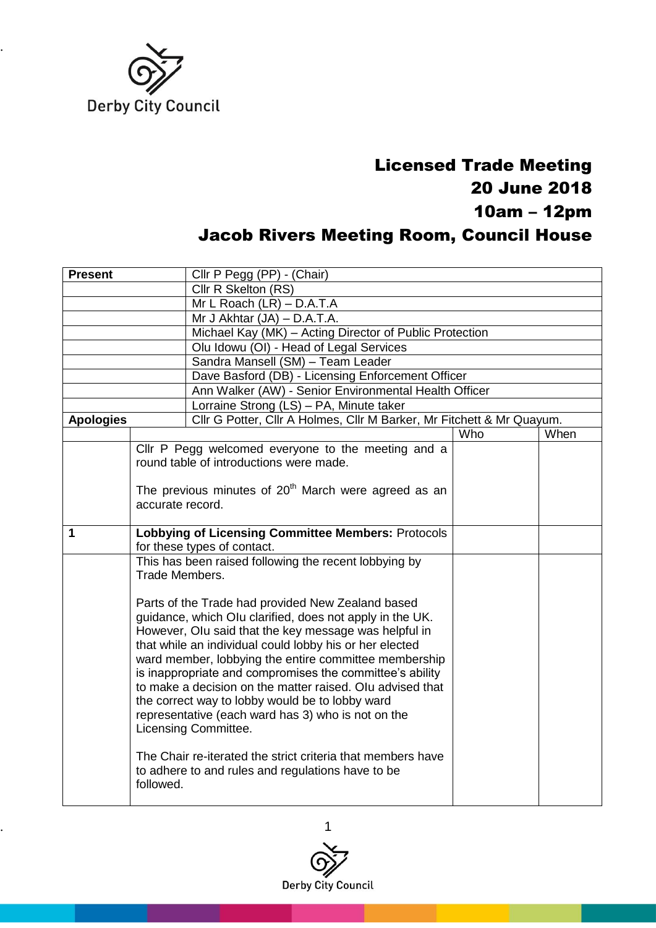

## Licensed Trade Meeting 20 June 2018 10am – 12pm Jacob Rivers Meeting Room, Council House

| <b>Present</b>   |                  | Cllr P Pegg (PP) - (Chair)                                            |     |      |  |
|------------------|------------------|-----------------------------------------------------------------------|-----|------|--|
|                  |                  | Cllr R Skelton (RS)                                                   |     |      |  |
|                  |                  | Mr L Roach (LR) - D.A.T.A                                             |     |      |  |
|                  |                  | Mr J Akhtar $(JA) - D.A.T.A$ .                                        |     |      |  |
|                  |                  | Michael Kay (MK) - Acting Director of Public Protection               |     |      |  |
|                  |                  | Olu Idowu (OI) - Head of Legal Services                               |     |      |  |
|                  |                  | Sandra Mansell (SM) - Team Leader                                     |     |      |  |
|                  |                  | Dave Basford (DB) - Licensing Enforcement Officer                     |     |      |  |
|                  |                  | Ann Walker (AW) - Senior Environmental Health Officer                 |     |      |  |
|                  |                  | Lorraine Strong (LS) - PA, Minute taker                               |     |      |  |
| <b>Apologies</b> |                  | Cllr G Potter, Cllr A Holmes, Cllr M Barker, Mr Fitchett & Mr Quayum. |     |      |  |
|                  |                  |                                                                       | Who | When |  |
|                  |                  | Cllr P Pegg welcomed everyone to the meeting and a                    |     |      |  |
|                  |                  | round table of introductions were made.                               |     |      |  |
|                  |                  |                                                                       |     |      |  |
|                  | accurate record. | The previous minutes of $20th$ March were agreed as an                |     |      |  |
|                  |                  |                                                                       |     |      |  |
| $\mathbf{1}$     |                  | <b>Lobbying of Licensing Committee Members: Protocols</b>             |     |      |  |
|                  |                  | for these types of contact.                                           |     |      |  |
|                  |                  | This has been raised following the recent lobbying by                 |     |      |  |
|                  | Trade Members.   |                                                                       |     |      |  |
|                  |                  |                                                                       |     |      |  |
|                  |                  | Parts of the Trade had provided New Zealand based                     |     |      |  |
|                  |                  | guidance, which Olu clarified, does not apply in the UK.              |     |      |  |
|                  |                  | However, Olu said that the key message was helpful in                 |     |      |  |
|                  |                  | that while an individual could lobby his or her elected               |     |      |  |
|                  |                  | ward member, lobbying the entire committee membership                 |     |      |  |
|                  |                  | is inappropriate and compromises the committee's ability              |     |      |  |
|                  |                  | to make a decision on the matter raised. Olu advised that             |     |      |  |
|                  |                  | the correct way to lobby would be to lobby ward                       |     |      |  |
|                  |                  | representative (each ward has 3) who is not on the                    |     |      |  |
|                  |                  | Licensing Committee.                                                  |     |      |  |
|                  |                  | The Chair re-iterated the strict criteria that members have           |     |      |  |
|                  |                  | to adhere to and rules and regulations have to be                     |     |      |  |
|                  | followed.        |                                                                       |     |      |  |
|                  |                  |                                                                       |     |      |  |

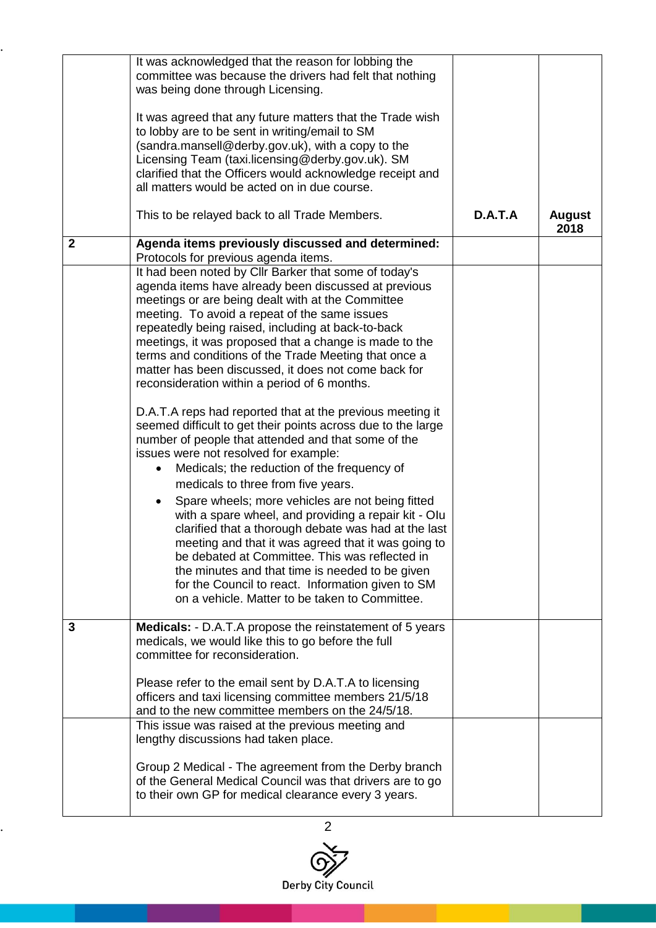|              | It was acknowledged that the reason for lobbing the<br>committee was because the drivers had felt that nothing<br>was being done through Licensing.<br>It was agreed that any future matters that the Trade wish<br>to lobby are to be sent in writing/email to SM<br>(sandra.mansell@derby.gov.uk), with a copy to the<br>Licensing Team (taxi.licensing@derby.gov.uk). SM<br>clarified that the Officers would acknowledge receipt and                                                                                                                                                                                                                                                                                                                                                                                                                                                                                                                                                                                                                                                                                                                                                                                                                      |         |               |
|--------------|---------------------------------------------------------------------------------------------------------------------------------------------------------------------------------------------------------------------------------------------------------------------------------------------------------------------------------------------------------------------------------------------------------------------------------------------------------------------------------------------------------------------------------------------------------------------------------------------------------------------------------------------------------------------------------------------------------------------------------------------------------------------------------------------------------------------------------------------------------------------------------------------------------------------------------------------------------------------------------------------------------------------------------------------------------------------------------------------------------------------------------------------------------------------------------------------------------------------------------------------------------------|---------|---------------|
|              | all matters would be acted on in due course.<br>This to be relayed back to all Trade Members.                                                                                                                                                                                                                                                                                                                                                                                                                                                                                                                                                                                                                                                                                                                                                                                                                                                                                                                                                                                                                                                                                                                                                                 | D.A.T.A | <b>August</b> |
| $\mathbf{2}$ | Agenda items previously discussed and determined:<br>Protocols for previous agenda items.                                                                                                                                                                                                                                                                                                                                                                                                                                                                                                                                                                                                                                                                                                                                                                                                                                                                                                                                                                                                                                                                                                                                                                     |         | 2018          |
|              | It had been noted by Cllr Barker that some of today's<br>agenda items have already been discussed at previous<br>meetings or are being dealt with at the Committee<br>meeting. To avoid a repeat of the same issues<br>repeatedly being raised, including at back-to-back<br>meetings, it was proposed that a change is made to the<br>terms and conditions of the Trade Meeting that once a<br>matter has been discussed, it does not come back for<br>reconsideration within a period of 6 months.<br>D.A.T.A reps had reported that at the previous meeting it<br>seemed difficult to get their points across due to the large<br>number of people that attended and that some of the<br>issues were not resolved for example:<br>Medicals; the reduction of the frequency of<br>medicals to three from five years.<br>Spare wheels; more vehicles are not being fitted<br>with a spare wheel, and providing a repair kit - Olu<br>clarified that a thorough debate was had at the last<br>meeting and that it was agreed that it was going to<br>be debated at Committee. This was reflected in<br>the minutes and that time is needed to be given<br>for the Council to react. Information given to SM<br>on a vehicle. Matter to be taken to Committee. |         |               |
| 3            | <b>Medicals:</b> - D.A.T.A propose the reinstatement of 5 years<br>medicals, we would like this to go before the full<br>committee for reconsideration.<br>Please refer to the email sent by D.A.T.A to licensing<br>officers and taxi licensing committee members 21/5/18<br>and to the new committee members on the 24/5/18.                                                                                                                                                                                                                                                                                                                                                                                                                                                                                                                                                                                                                                                                                                                                                                                                                                                                                                                                |         |               |
|              | This issue was raised at the previous meeting and<br>lengthy discussions had taken place.<br>Group 2 Medical - The agreement from the Derby branch<br>of the General Medical Council was that drivers are to go<br>to their own GP for medical clearance every 3 years.                                                                                                                                                                                                                                                                                                                                                                                                                                                                                                                                                                                                                                                                                                                                                                                                                                                                                                                                                                                       |         |               |

..

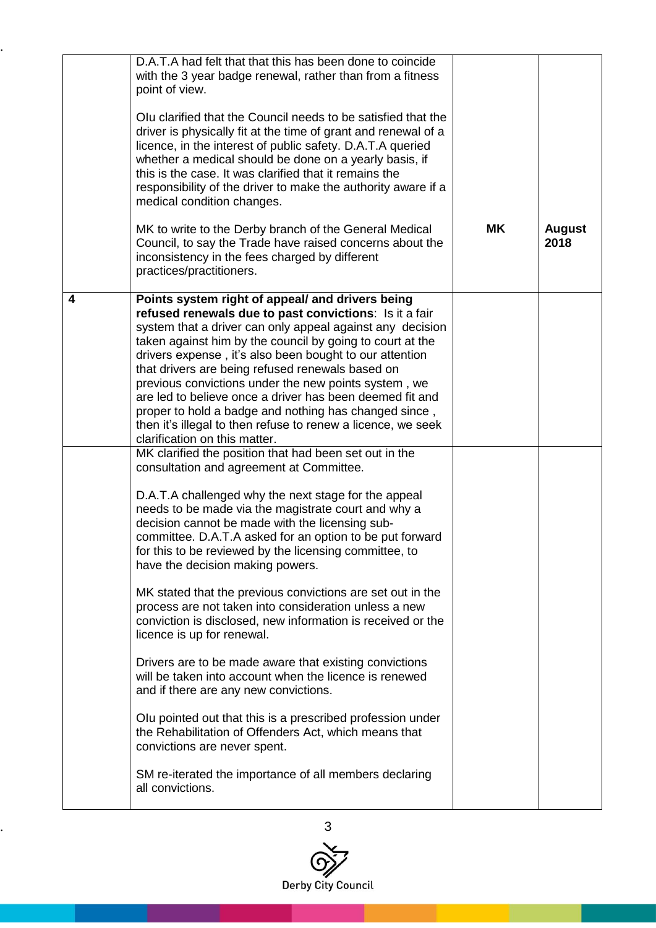|   | D.A.T.A had felt that that this has been done to coincide<br>with the 3 year badge renewal, rather than from a fitness<br>point of view.<br>Olu clarified that the Council needs to be satisfied that the<br>driver is physically fit at the time of grant and renewal of a<br>licence, in the interest of public safety. D.A.T.A queried<br>whether a medical should be done on a yearly basis, if<br>this is the case. It was clarified that it remains the<br>responsibility of the driver to make the authority aware if a<br>medical condition changes.<br>MK to write to the Derby branch of the General Medical<br>Council, to say the Trade have raised concerns about the<br>inconsistency in the fees charged by different<br>practices/practitioners.                                                                                                                                                                                                                                                                                                                                                                                                                           | <b>MK</b> | <b>August</b><br>2018 |
|---|--------------------------------------------------------------------------------------------------------------------------------------------------------------------------------------------------------------------------------------------------------------------------------------------------------------------------------------------------------------------------------------------------------------------------------------------------------------------------------------------------------------------------------------------------------------------------------------------------------------------------------------------------------------------------------------------------------------------------------------------------------------------------------------------------------------------------------------------------------------------------------------------------------------------------------------------------------------------------------------------------------------------------------------------------------------------------------------------------------------------------------------------------------------------------------------------|-----------|-----------------------|
| 4 | Points system right of appeal/ and drivers being<br>refused renewals due to past convictions: Is it a fair<br>system that a driver can only appeal against any decision<br>taken against him by the council by going to court at the<br>drivers expense, it's also been bought to our attention<br>that drivers are being refused renewals based on<br>previous convictions under the new points system, we<br>are led to believe once a driver has been deemed fit and<br>proper to hold a badge and nothing has changed since,<br>then it's illegal to then refuse to renew a licence, we seek<br>clarification on this matter.<br>MK clarified the position that had been set out in the<br>consultation and agreement at Committee.<br>D.A.T.A challenged why the next stage for the appeal<br>needs to be made via the magistrate court and why a<br>decision cannot be made with the licensing sub-<br>committee. D.A.T.A asked for an option to be put forward<br>for this to be reviewed by the licensing committee, to<br>have the decision making powers.<br>MK stated that the previous convictions are set out in the<br>process are not taken into consideration unless a new |           |                       |
|   | conviction is disclosed, new information is received or the<br>licence is up for renewal.<br>Drivers are to be made aware that existing convictions<br>will be taken into account when the licence is renewed<br>and if there are any new convictions.<br>Olu pointed out that this is a prescribed profession under<br>the Rehabilitation of Offenders Act, which means that<br>convictions are never spent.<br>SM re-iterated the importance of all members declaring<br>all convictions.                                                                                                                                                                                                                                                                                                                                                                                                                                                                                                                                                                                                                                                                                                |           |                       |

..

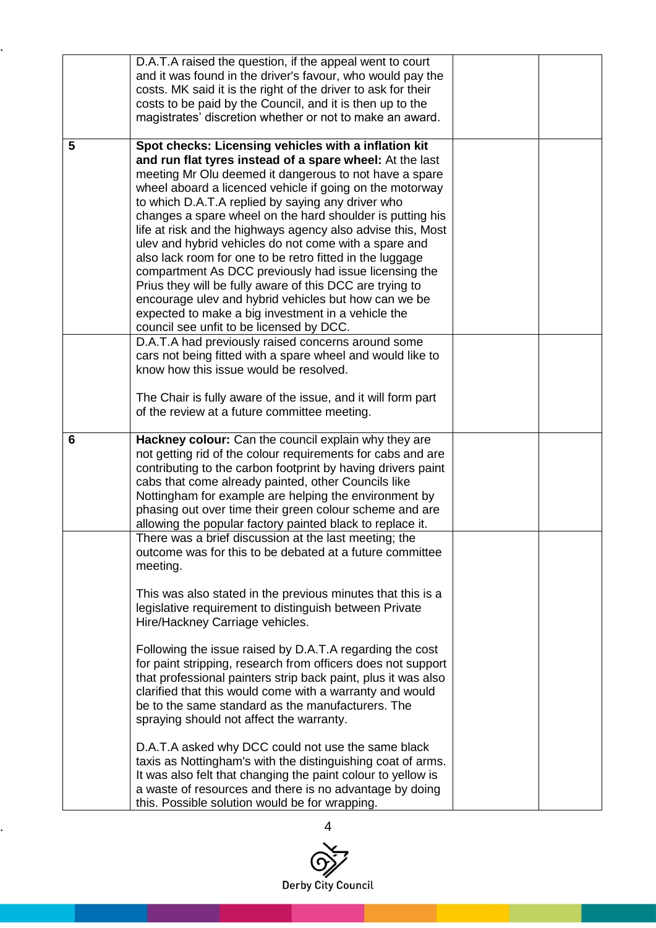|   | D.A.T.A raised the question, if the appeal went to court<br>and it was found in the driver's favour, who would pay the<br>costs. MK said it is the right of the driver to ask for their<br>costs to be paid by the Council, and it is then up to the<br>magistrates' discretion whether or not to make an award.                                                                                                                                                                                                                                                                                                                                                                                                                                                                                                                                                                                    |  |
|---|-----------------------------------------------------------------------------------------------------------------------------------------------------------------------------------------------------------------------------------------------------------------------------------------------------------------------------------------------------------------------------------------------------------------------------------------------------------------------------------------------------------------------------------------------------------------------------------------------------------------------------------------------------------------------------------------------------------------------------------------------------------------------------------------------------------------------------------------------------------------------------------------------------|--|
| 5 | Spot checks: Licensing vehicles with a inflation kit<br>and run flat tyres instead of a spare wheel: At the last<br>meeting Mr Olu deemed it dangerous to not have a spare<br>wheel aboard a licenced vehicle if going on the motorway<br>to which D.A.T.A replied by saying any driver who<br>changes a spare wheel on the hard shoulder is putting his<br>life at risk and the highways agency also advise this, Most<br>ulev and hybrid vehicles do not come with a spare and<br>also lack room for one to be retro fitted in the luggage<br>compartment As DCC previously had issue licensing the<br>Prius they will be fully aware of this DCC are trying to<br>encourage ulev and hybrid vehicles but how can we be<br>expected to make a big investment in a vehicle the<br>council see unfit to be licensed by DCC.                                                                         |  |
|   | D.A.T.A had previously raised concerns around some<br>cars not being fitted with a spare wheel and would like to<br>know how this issue would be resolved.<br>The Chair is fully aware of the issue, and it will form part<br>of the review at a future committee meeting.                                                                                                                                                                                                                                                                                                                                                                                                                                                                                                                                                                                                                          |  |
| 6 | Hackney colour: Can the council explain why they are<br>not getting rid of the colour requirements for cabs and are<br>contributing to the carbon footprint by having drivers paint<br>cabs that come already painted, other Councils like<br>Nottingham for example are helping the environment by<br>phasing out over time their green colour scheme and are<br>allowing the popular factory painted black to replace it.                                                                                                                                                                                                                                                                                                                                                                                                                                                                         |  |
|   | There was a brief discussion at the last meeting; the<br>outcome was for this to be debated at a future committee<br>meeting.<br>This was also stated in the previous minutes that this is a<br>legislative requirement to distinguish between Private<br>Hire/Hackney Carriage vehicles.<br>Following the issue raised by D.A.T.A regarding the cost<br>for paint stripping, research from officers does not support<br>that professional painters strip back paint, plus it was also<br>clarified that this would come with a warranty and would<br>be to the same standard as the manufacturers. The<br>spraying should not affect the warranty.<br>D.A.T.A asked why DCC could not use the same black<br>taxis as Nottingham's with the distinguishing coat of arms.<br>It was also felt that changing the paint colour to yellow is<br>a waste of resources and there is no advantage by doing |  |

..

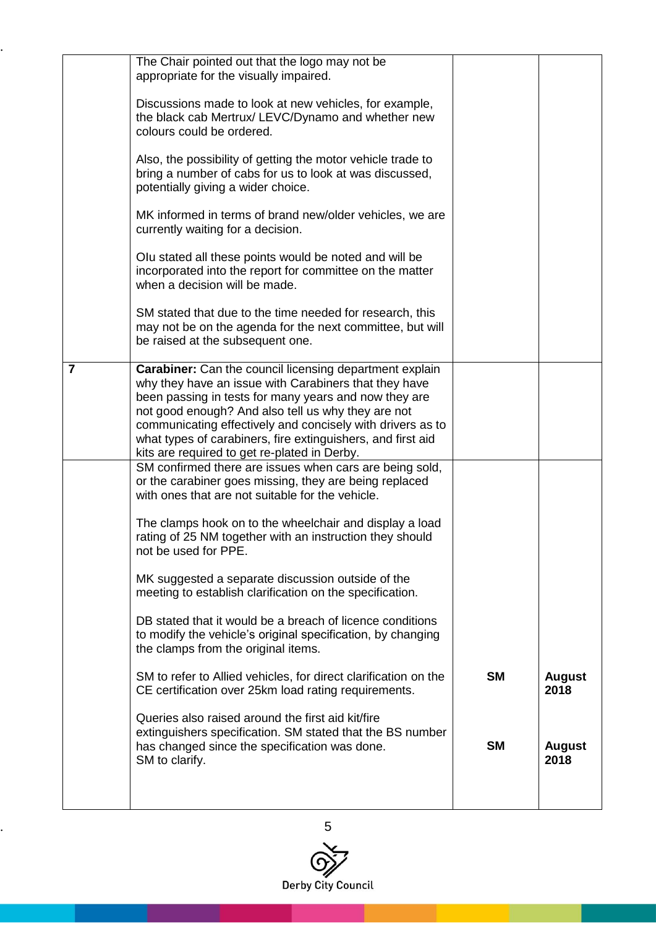|                | The Chair pointed out that the logo may not be<br>appropriate for the visually impaired.                                                                                                                                                                                                                                                                                                                     |           |                       |
|----------------|--------------------------------------------------------------------------------------------------------------------------------------------------------------------------------------------------------------------------------------------------------------------------------------------------------------------------------------------------------------------------------------------------------------|-----------|-----------------------|
|                | Discussions made to look at new vehicles, for example,<br>the black cab Mertrux/ LEVC/Dynamo and whether new<br>colours could be ordered.                                                                                                                                                                                                                                                                    |           |                       |
|                | Also, the possibility of getting the motor vehicle trade to<br>bring a number of cabs for us to look at was discussed,<br>potentially giving a wider choice.                                                                                                                                                                                                                                                 |           |                       |
|                | MK informed in terms of brand new/older vehicles, we are<br>currently waiting for a decision.                                                                                                                                                                                                                                                                                                                |           |                       |
|                | Olu stated all these points would be noted and will be<br>incorporated into the report for committee on the matter<br>when a decision will be made.                                                                                                                                                                                                                                                          |           |                       |
|                | SM stated that due to the time needed for research, this<br>may not be on the agenda for the next committee, but will<br>be raised at the subsequent one.                                                                                                                                                                                                                                                    |           |                       |
| $\overline{7}$ | Carabiner: Can the council licensing department explain<br>why they have an issue with Carabiners that they have<br>been passing in tests for many years and now they are<br>not good enough? And also tell us why they are not<br>communicating effectively and concisely with drivers as to<br>what types of carabiners, fire extinguishers, and first aid<br>kits are required to get re-plated in Derby. |           |                       |
|                | SM confirmed there are issues when cars are being sold,<br>or the carabiner goes missing, they are being replaced<br>with ones that are not suitable for the vehicle.                                                                                                                                                                                                                                        |           |                       |
|                | The clamps hook on to the wheelchair and display a load<br>rating of 25 NM together with an instruction they should<br>not be used for PPE.                                                                                                                                                                                                                                                                  |           |                       |
|                | MK suggested a separate discussion outside of the<br>meeting to establish clarification on the specification.                                                                                                                                                                                                                                                                                                |           |                       |
|                | DB stated that it would be a breach of licence conditions<br>to modify the vehicle's original specification, by changing<br>the clamps from the original items.                                                                                                                                                                                                                                              |           |                       |
|                | SM to refer to Allied vehicles, for direct clarification on the<br>CE certification over 25km load rating requirements.                                                                                                                                                                                                                                                                                      | <b>SM</b> | <b>August</b><br>2018 |
|                | Queries also raised around the first aid kit/fire<br>extinguishers specification. SM stated that the BS number<br>has changed since the specification was done.<br>SM to clarify.                                                                                                                                                                                                                            | <b>SM</b> | <b>August</b><br>2018 |
|                |                                                                                                                                                                                                                                                                                                                                                                                                              |           |                       |

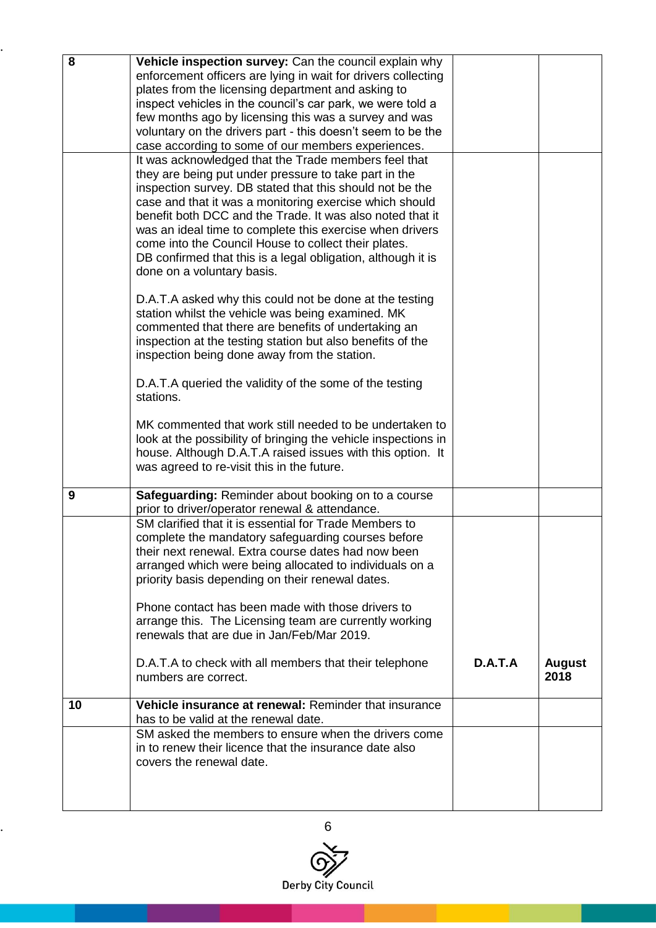| 8  | Vehicle inspection survey: Can the council explain why                                               |         |               |
|----|------------------------------------------------------------------------------------------------------|---------|---------------|
|    | enforcement officers are lying in wait for drivers collecting                                        |         |               |
|    | plates from the licensing department and asking to                                                   |         |               |
|    | inspect vehicles in the council's car park, we were told a                                           |         |               |
|    | few months ago by licensing this was a survey and was                                                |         |               |
|    | voluntary on the drivers part - this doesn't seem to be the                                          |         |               |
|    | case according to some of our members experiences.                                                   |         |               |
|    | It was acknowledged that the Trade members feel that                                                 |         |               |
|    | they are being put under pressure to take part in the                                                |         |               |
|    | inspection survey. DB stated that this should not be the                                             |         |               |
|    | case and that it was a monitoring exercise which should                                              |         |               |
|    | benefit both DCC and the Trade. It was also noted that it                                            |         |               |
|    | was an ideal time to complete this exercise when drivers                                             |         |               |
|    | come into the Council House to collect their plates.                                                 |         |               |
|    | DB confirmed that this is a legal obligation, although it is                                         |         |               |
|    | done on a voluntary basis.                                                                           |         |               |
|    | D.A.T.A asked why this could not be done at the testing                                              |         |               |
|    | station whilst the vehicle was being examined. MK                                                    |         |               |
|    | commented that there are benefits of undertaking an                                                  |         |               |
|    | inspection at the testing station but also benefits of the                                           |         |               |
|    | inspection being done away from the station.                                                         |         |               |
|    |                                                                                                      |         |               |
|    | D.A.T.A queried the validity of the some of the testing                                              |         |               |
|    | stations.                                                                                            |         |               |
|    |                                                                                                      |         |               |
|    | MK commented that work still needed to be undertaken to                                              |         |               |
|    | look at the possibility of bringing the vehicle inspections in                                       |         |               |
|    | house. Although D.A.T.A raised issues with this option. It                                           |         |               |
|    | was agreed to re-visit this in the future.                                                           |         |               |
| 9  | Safeguarding: Reminder about booking on to a course                                                  |         |               |
|    | prior to driver/operator renewal & attendance.                                                       |         |               |
|    | SM clarified that it is essential for Trade Members to                                               |         |               |
|    | complete the mandatory safeguarding courses before                                                   |         |               |
|    | their next renewal. Extra course dates had now been                                                  |         |               |
|    | arranged which were being allocated to individuals on a                                              |         |               |
|    | priority basis depending on their renewal dates.                                                     |         |               |
|    |                                                                                                      |         |               |
|    | Phone contact has been made with those drivers to                                                    |         |               |
|    | arrange this. The Licensing team are currently working<br>renewals that are due in Jan/Feb/Mar 2019. |         |               |
|    |                                                                                                      |         |               |
|    | D.A.T.A to check with all members that their telephone                                               | D.A.T.A | <b>August</b> |
|    | numbers are correct.                                                                                 |         | 2018          |
|    |                                                                                                      |         |               |
| 10 | Vehicle insurance at renewal: Reminder that insurance                                                |         |               |
|    | has to be valid at the renewal date.                                                                 |         |               |
|    | SM asked the members to ensure when the drivers come                                                 |         |               |
|    | in to renew their licence that the insurance date also                                               |         |               |
|    | covers the renewal date.                                                                             |         |               |
|    |                                                                                                      |         |               |
|    |                                                                                                      |         |               |
|    |                                                                                                      |         |               |